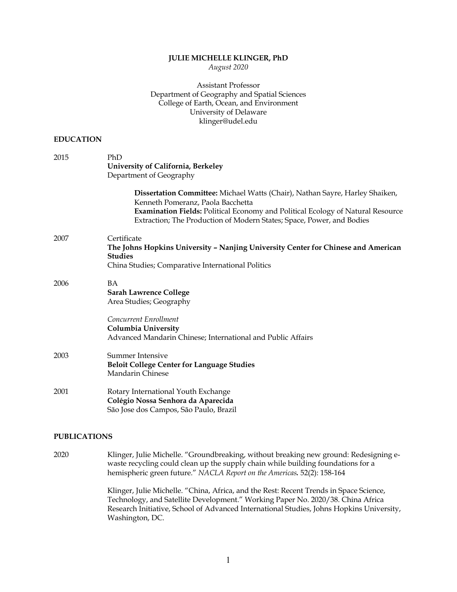## **JULIE MICHELLE KLINGER, PhD**

*August 2020*

## Assistant Professor Department of Geography and Spatial Sciences College of Earth, Ocean, and Environment University of Delaware klinger@udel.edu

## **EDUCATION**

| 2015 | PhD<br>University of California, Berkeley<br>Department of Geography                                                                                                                                                                                                          |
|------|-------------------------------------------------------------------------------------------------------------------------------------------------------------------------------------------------------------------------------------------------------------------------------|
|      | Dissertation Committee: Michael Watts (Chair), Nathan Sayre, Harley Shaiken,<br>Kenneth Pomeranz, Paola Bacchetta<br>Examination Fields: Political Economy and Political Ecology of Natural Resource<br>Extraction; The Production of Modern States; Space, Power, and Bodies |
| 2007 | Certificate<br>The Johns Hopkins University - Nanjing University Center for Chinese and American<br><b>Studies</b><br>China Studies; Comparative International Politics                                                                                                       |
| 2006 | <b>BA</b><br><b>Sarah Lawrence College</b><br>Area Studies; Geography                                                                                                                                                                                                         |
|      | Concurrent Enrollment<br>Columbia University<br>Advanced Mandarin Chinese; International and Public Affairs                                                                                                                                                                   |
| 2003 | Summer Intensive<br><b>Beloit College Center for Language Studies</b><br>Mandarin Chinese                                                                                                                                                                                     |
| 2001 | Rotary International Youth Exchange<br>Colégio Nossa Senhora da Aparecida<br>São Jose dos Campos, São Paulo, Brazil                                                                                                                                                           |

## **PUBLICATIONS**

2020 Klinger, Julie Michelle. "Groundbreaking, without breaking new ground: Redesigning ewaste recycling could clean up the supply chain while building foundations for a hemispheric green future." *NACLA Report on the Americas.* 52(2): 158-164

> Klinger, Julie Michelle. "China, Africa, and the Rest: Recent Trends in Space Science, Technology, and Satellite Development." Working Paper No. 2020/38. China Africa Research Initiative, School of Advanced International Studies, Johns Hopkins University, Washington, DC.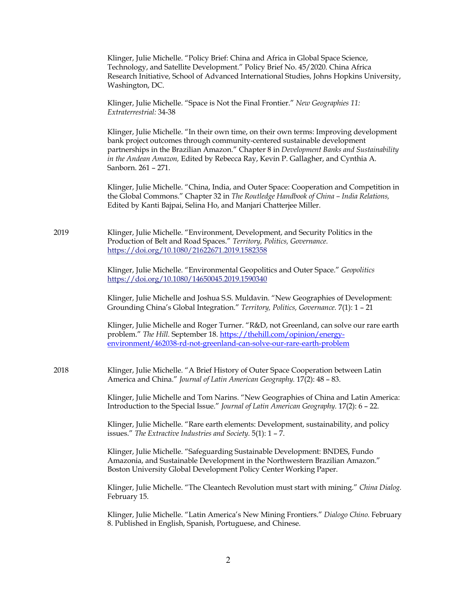|      | Klinger, Julie Michelle. "Policy Brief: China and Africa in Global Space Science,<br>Technology, and Satellite Development." Policy Brief No. 45/2020. China Africa<br>Research Initiative, School of Advanced International Studies, Johns Hopkins University,<br>Washington, DC.                                                                                       |
|------|--------------------------------------------------------------------------------------------------------------------------------------------------------------------------------------------------------------------------------------------------------------------------------------------------------------------------------------------------------------------------|
|      | Klinger, Julie Michelle. "Space is Not the Final Frontier." New Geographies 11:<br>Extraterrestrial: 34-38                                                                                                                                                                                                                                                               |
|      | Klinger, Julie Michelle. "In their own time, on their own terms: Improving development<br>bank project outcomes through community-centered sustainable development<br>partnerships in the Brazilian Amazon." Chapter 8 in Development Banks and Sustainability<br>in the Andean Amazon, Edited by Rebecca Ray, Kevin P. Gallagher, and Cynthia A.<br>Sanborn. 261 - 271. |
|      | Klinger, Julie Michelle. "China, India, and Outer Space: Cooperation and Competition in<br>the Global Commons." Chapter 32 in The Routledge Handbook of China - India Relations,<br>Edited by Kanti Bajpai, Selina Ho, and Manjari Chatterjee Miller.                                                                                                                    |
| 2019 | Klinger, Julie Michelle. "Environment, Development, and Security Politics in the<br>Production of Belt and Road Spaces." Territory, Politics, Governance.<br>https://doi.org/10.1080/21622671.2019.1582358                                                                                                                                                               |
|      | Klinger, Julie Michelle. "Environmental Geopolitics and Outer Space." Geopolitics<br>https://doi.org/10.1080/14650045.2019.1590340                                                                                                                                                                                                                                       |
|      | Klinger, Julie Michelle and Joshua S.S. Muldavin. "New Geographies of Development:<br>Grounding China's Global Integration." Territory, Politics, Governance. 7(1): 1 - 21                                                                                                                                                                                               |
|      | Klinger, Julie Michelle and Roger Turner. "R&D, not Greenland, can solve our rare earth<br>problem." The Hill. September 18. https://thehill.com/opinion/energy-<br>environment/462038-rd-not-greenland-can-solve-our-rare-earth-problem                                                                                                                                 |
| 2018 | Klinger, Julie Michelle. "A Brief History of Outer Space Cooperation between Latin<br>America and China." Journal of Latin American Geography. 17(2): 48 - 83.                                                                                                                                                                                                           |
|      | Klinger, Julie Michelle and Tom Narins. "New Geographies of China and Latin America:<br>Introduction to the Special Issue." Journal of Latin American Geography. 17(2): 6 - 22.                                                                                                                                                                                          |
|      | Klinger, Julie Michelle. "Rare earth elements: Development, sustainability, and policy<br>issues." The Extractive Industries and Society. $5(1)$ : 1 – 7.                                                                                                                                                                                                                |
|      | Klinger, Julie Michelle. "Safeguarding Sustainable Development: BNDES, Fundo<br>Amazonia, and Sustainable Development in the Northwestern Brazilian Amazon."<br>Boston University Global Development Policy Center Working Paper.                                                                                                                                        |
|      | Klinger, Julie Michelle. "The Cleantech Revolution must start with mining." China Dialog.<br>February 15.                                                                                                                                                                                                                                                                |
|      | Klinger, Julie Michelle. "Latin America's New Mining Frontiers." Dialogo Chino. February<br>8. Published in English, Spanish, Portuguese, and Chinese.                                                                                                                                                                                                                   |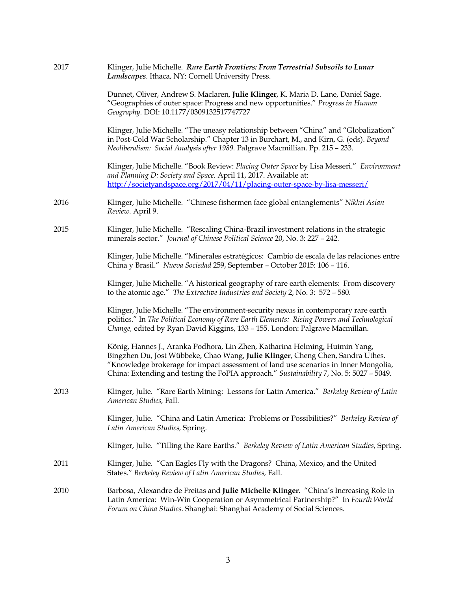| 2017 | Klinger, Julie Michelle. Rare Earth Frontiers: From Terrestrial Subsoils to Lunar<br>Landscapes. Ithaca, NY: Cornell University Press.                                                                                                                                                                                                          |
|------|-------------------------------------------------------------------------------------------------------------------------------------------------------------------------------------------------------------------------------------------------------------------------------------------------------------------------------------------------|
|      | Dunnet, Oliver, Andrew S. Maclaren, Julie Klinger, K. Maria D. Lane, Daniel Sage.<br>"Geographies of outer space: Progress and new opportunities." Progress in Human<br>Geography. DOI: 10.1177/0309132517747727                                                                                                                                |
|      | Klinger, Julie Michelle. "The uneasy relationship between "China" and "Globalization"<br>in Post-Cold War Scholarship." Chapter 13 in Burchart, M., and Kirn, G. (eds). Beyond<br>Neoliberalism: Social Analysis after 1989. Palgrave Macmillian. Pp. 215 - 233.                                                                                |
|      | Klinger, Julie Michelle. "Book Review: Placing Outer Space by Lisa Messeri." Environment<br>and Planning D: Society and Space. April 11, 2017. Available at:<br>http://societyandspace.org/2017/04/11/placing-outer-space-by-lisa-messeri/                                                                                                      |
| 2016 | Klinger, Julie Michelle. "Chinese fishermen face global entanglements" Nikkei Asian<br>Review. April 9.                                                                                                                                                                                                                                         |
| 2015 | Klinger, Julie Michelle. "Rescaling China-Brazil investment relations in the strategic<br>minerals sector." Journal of Chinese Political Science 20, No. 3: 227 - 242.                                                                                                                                                                          |
|      | Klinger, Julie Michelle. "Minerales estratégicos: Cambio de escala de las relaciones entre<br>China y Brasil." Nueva Sociedad 259, September - October 2015: 106 - 116.                                                                                                                                                                         |
|      | Klinger, Julie Michelle. "A historical geography of rare earth elements: From discovery<br>to the atomic age." The Extractive Industries and Society 2, No. 3: 572 - 580.                                                                                                                                                                       |
|      | Klinger, Julie Michelle. "The environment-security nexus in contemporary rare earth<br>politics." In The Political Economy of Rare Earth Elements: Rising Powers and Technological<br>Change, edited by Ryan David Kiggins, 133 - 155. London: Palgrave Macmillan.                                                                              |
|      | König, Hannes J., Aranka Podhora, Lin Zhen, Katharina Helming, Huimin Yang,<br>Bingzhen Du, Jost Wübbeke, Chao Wang, Julie Klinger, Cheng Chen, Sandra Uthes.<br>"Knowledge brokerage for impact assessment of land use scenarios in Inner Mongolia,<br>China: Extending and testing the FoPIA approach." Sustainability 7, No. 5: 5027 - 5049. |
| 2013 | Klinger, Julie. "Rare Earth Mining: Lessons for Latin America." Berkeley Review of Latin<br>American Studies, Fall.                                                                                                                                                                                                                             |
|      | Klinger, Julie. "China and Latin America: Problems or Possibilities?" Berkeley Review of<br>Latin American Studies, Spring.                                                                                                                                                                                                                     |
|      | Klinger, Julie. "Tilling the Rare Earths." Berkeley Review of Latin American Studies, Spring.                                                                                                                                                                                                                                                   |
| 2011 | Klinger, Julie. "Can Eagles Fly with the Dragons? China, Mexico, and the United<br>States." Berkeley Review of Latin American Studies, Fall.                                                                                                                                                                                                    |
| 2010 | Barbosa, Alexandre de Freitas and Julie Michelle Klinger. "China's Increasing Role in<br>Latin America: Win-Win Cooperation or Asymmetrical Partnership?" In Fourth World<br>Forum on China Studies. Shanghai: Shanghai Academy of Social Sciences.                                                                                             |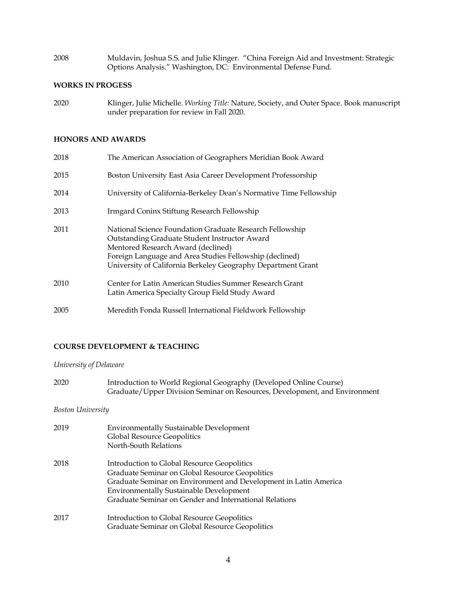2008 Muldavin, Joshua S.S. and Julie Klinger. "China Foreign Aid and Investment: Strategic Options Analysis." Washington, DC: Environmental Defense Fund.

## **WORKS IN PROGESS**

2020 Klinger, Julie Michelle. *Working Title:* Nature, Society, and Outer Space. Book manuscript under preparation for review in Fall 2020.

## **HONORS AND AWARDS**

| 2018 | The American Association of Geographers Meridian Book Award                                                                                                                                                                                                                |
|------|----------------------------------------------------------------------------------------------------------------------------------------------------------------------------------------------------------------------------------------------------------------------------|
| 2015 | Boston University East Asia Career Development Professorship                                                                                                                                                                                                               |
| 2014 | University of California-Berkeley Dean's Normative Time Fellowship                                                                                                                                                                                                         |
| 2013 | Irmgard Coninx Stiftung Research Fellowship                                                                                                                                                                                                                                |
| 2011 | National Science Foundation Graduate Research Fellowship<br>Outstanding Graduate Student Instructor Award<br>Mentored Research Award (declined)<br>Foreign Language and Area Studies Fellowship (declined)<br>University of California Berkeley Geography Department Grant |
| 2010 | Center for Latin American Studies Summer Research Grant<br>Latin America Specialty Group Field Study Award                                                                                                                                                                 |
| 2005 | Meredith Fonda Russell International Fieldwork Fellowship                                                                                                                                                                                                                  |

# **COURSE DEVELOPMENT & TEACHING**

*University of Delaware*

2020 Introduction to World Regional Geography (Developed Online Course) Graduate/Upper Division Seminar on Resources, Development, and Environment

## *Boston University*

| 2019 | <b>Environmentally Sustainable Development</b><br><b>Global Resource Geopolitics</b><br>North-South Relations                                                                                                                                                                  |
|------|--------------------------------------------------------------------------------------------------------------------------------------------------------------------------------------------------------------------------------------------------------------------------------|
| 2018 | Introduction to Global Resource Geopolitics<br>Graduate Seminar on Global Resource Geopolitics<br>Graduate Seminar on Environment and Development in Latin America<br><b>Environmentally Sustainable Development</b><br>Graduate Seminar on Gender and International Relations |
| 2017 | Introduction to Global Resource Geopolitics<br>Graduate Seminar on Global Resource Geopolitics                                                                                                                                                                                 |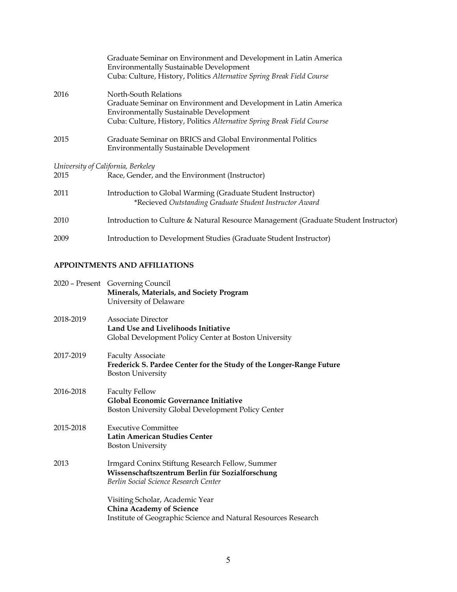|      | Graduate Seminar on Environment and Development in Latin America<br><b>Environmentally Sustainable Development</b><br>Cuba: Culture, History, Politics Alternative Spring Break Field Course                          |
|------|-----------------------------------------------------------------------------------------------------------------------------------------------------------------------------------------------------------------------|
| 2016 | North-South Relations<br>Graduate Seminar on Environment and Development in Latin America<br><b>Environmentally Sustainable Development</b><br>Cuba: Culture, History, Politics Alternative Spring Break Field Course |
| 2015 | Graduate Seminar on BRICS and Global Environmental Politics<br><b>Environmentally Sustainable Development</b>                                                                                                         |
|      | University of California, Berkeley                                                                                                                                                                                    |
| 2015 | Race, Gender, and the Environment (Instructor)                                                                                                                                                                        |
| 2011 | Introduction to Global Warming (Graduate Student Instructor)<br>*Recieved Outstanding Graduate Student Instructor Award                                                                                               |
| 2010 | Introduction to Culture & Natural Resource Management (Graduate Student Instructor)                                                                                                                                   |
| 2009 | Introduction to Development Studies (Graduate Student Instructor)                                                                                                                                                     |

# **APPOINTMENTS AND AFFILIATIONS**

|           | 2020 - Present Governing Council<br>Minerals, Materials, and Society Program<br>University of Delaware                                      |
|-----------|---------------------------------------------------------------------------------------------------------------------------------------------|
| 2018-2019 | Associate Director<br>Land Use and Livelihoods Initiative<br>Global Development Policy Center at Boston University                          |
| 2017-2019 | <b>Faculty Associate</b><br>Frederick S. Pardee Center for the Study of the Longer-Range Future<br><b>Boston University</b>                 |
| 2016-2018 | <b>Faculty Fellow</b><br><b>Global Economic Governance Initiative</b><br>Boston University Global Development Policy Center                 |
| 2015-2018 | <b>Executive Committee</b><br>Latin American Studies Center<br><b>Boston University</b>                                                     |
| 2013      | Irmgard Coninx Stiftung Research Fellow, Summer<br>Wissenschaftszentrum Berlin für Sozialforschung<br>Berlin Social Science Research Center |
|           | Visiting Scholar, Academic Year<br><b>China Academy of Science</b><br>Institute of Geographic Science and Natural Resources Research        |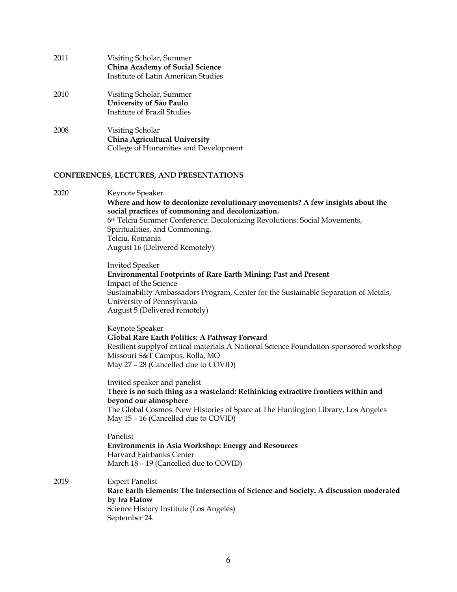| 2011 | Visiting Scholar, Summer<br>China Academy of Social Science<br><b>Institute of Latin American Studies</b> |
|------|-----------------------------------------------------------------------------------------------------------|
| 2010 | Visiting Scholar, Summer<br>University of São Paulo<br>Institute of Brazil Studies                        |
| 2008 | Visiting Scholar<br>China Agricultural University<br>College of Humanities and Development                |

# **CONFERENCES, LECTURES, AND PRESENTATIONS**

| 2020 | Keynote Speaker<br>Where and how to decolonize revolutionary movements? A few insights about the<br>social practices of commoning and decolonization.<br>6th Telciu Summer Conference: Decolonizing Revolutions: Social Movements,<br>Spiritualities, and Commoning.<br>Telciu, Romania<br>August 16 (Delivered Remotely) |
|------|---------------------------------------------------------------------------------------------------------------------------------------------------------------------------------------------------------------------------------------------------------------------------------------------------------------------------|
|      | <b>Invited Speaker</b><br><b>Environmental Footprints of Rare Earth Mining: Past and Present</b><br>Impact of the Science<br>Sustainability Ambassadors Program, Center for the Sustainable Separation of Metals,<br>University of Pennsylvania<br>August 5 (Delivered remotely)                                          |
|      | Keynote Speaker<br>Global Rare Earth Politics: A Pathway Forward<br>Resilient supplyof critical materials: A National Science Foundation-sponsored workshop<br>Missouri S&T Campus, Rolla, MO<br>May 27 - 28 (Cancelled due to COVID)                                                                                     |
|      | Invited speaker and panelist<br>There is no such thing as a wasteland: Rethinking extractive frontiers within and<br>beyond our atmosphere<br>The Global Cosmos: New Histories of Space at The Huntington Library, Los Angeles<br>May 15 - 16 (Cancelled due to COVID)                                                    |
|      | Panelist<br><b>Environments in Asia Workshop: Energy and Resources</b><br>Harvard Fairbanks Center<br>March 18 - 19 (Cancelled due to COVID)                                                                                                                                                                              |
| 2019 | <b>Expert Panelist</b><br>Rare Earth Elements: The Intersection of Science and Society. A discussion moderated<br>by Ira Flatow<br>Science History Institute (Los Angeles)<br>September 24.                                                                                                                               |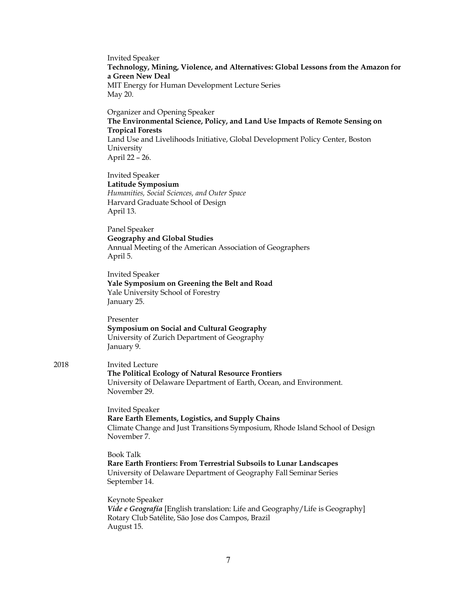Invited Speaker **Technology, Mining, Violence, and Alternatives: Global Lessons from the Amazon for a Green New Deal** MIT Energy for Human Development Lecture Series May 20.

Organizer and Opening Speaker **The Environmental Science, Policy, and Land Use Impacts of Remote Sensing on Tropical Forests** Land Use and Livelihoods Initiative, Global Development Policy Center, Boston University April 22 – 26.

Invited Speaker **Latitude Symposium** *Humanities, Social Sciences, and Outer Space* Harvard Graduate School of Design April 13.

Panel Speaker **Geography and Global Studies** Annual Meeting of the American Association of Geographers April 5.

Invited Speaker **Yale Symposium on Greening the Belt and Road** Yale University School of Forestry January 25.

Presenter **Symposium on Social and Cultural Geography** University of Zurich Department of Geography January 9.

### 2018 Invited Lecture **The Political Ecology of Natural Resource Frontiers** University of Delaware Department of Earth, Ocean, and Environment. November 29.

Invited Speaker **Rare Earth Elements, Logistics, and Supply Chains** Climate Change and Just Transitions Symposium, Rhode Island School of Design November 7.

Book Talk **Rare Earth Frontiers: From Terrestrial Subsoils to Lunar Landscapes** University of Delaware Department of Geography Fall Seminar Series September 14.

Keynote Speaker *Vide e Geografía* [English translation: Life and Geography/Life is Geography] Rotary Club Satélite, São Jose dos Campos, Brazil August 15.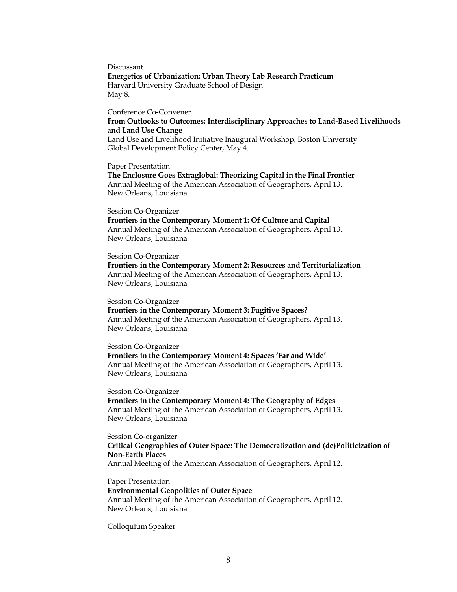Discussant **Energetics of Urbanization: Urban Theory Lab Research Practicum** Harvard University Graduate School of Design May 8.

#### Conference Co-Convener

**From Outlooks to Outcomes: Interdisciplinary Approaches to Land-Based Livelihoods and Land Use Change**

Land Use and Livelihood Initiative Inaugural Workshop, Boston University Global Development Policy Center, May 4.

Paper Presentation

**The Enclosure Goes Extraglobal: Theorizing Capital in the Final Frontier** Annual Meeting of the American Association of Geographers, April 13. New Orleans, Louisiana

#### Session Co-Organizer

**Frontiers in the Contemporary Moment 1: Of Culture and Capital** Annual Meeting of the American Association of Geographers, April 13. New Orleans, Louisiana

#### Session Co-Organizer

**Frontiers in the Contemporary Moment 2: Resources and Territorialization** Annual Meeting of the American Association of Geographers, April 13. New Orleans, Louisiana

Session Co-Organizer

**Frontiers in the Contemporary Moment 3: Fugitive Spaces?** Annual Meeting of the American Association of Geographers, April 13. New Orleans, Louisiana

#### Session Co-Organizer

**Frontiers in the Contemporary Moment 4: Spaces 'Far and Wide'** Annual Meeting of the American Association of Geographers, April 13. New Orleans, Louisiana

Session Co-Organizer **Frontiers in the Contemporary Moment 4: The Geography of Edges** Annual Meeting of the American Association of Geographers, April 13. New Orleans, Louisiana

Session Co-organizer **Critical Geographies of Outer Space: The Democratization and (de)Politicization of Non-Earth Places**

Annual Meeting of the American Association of Geographers, April 12.

Paper Presentation **Environmental Geopolitics of Outer Space** Annual Meeting of the American Association of Geographers, April 12. New Orleans, Louisiana

Colloquium Speaker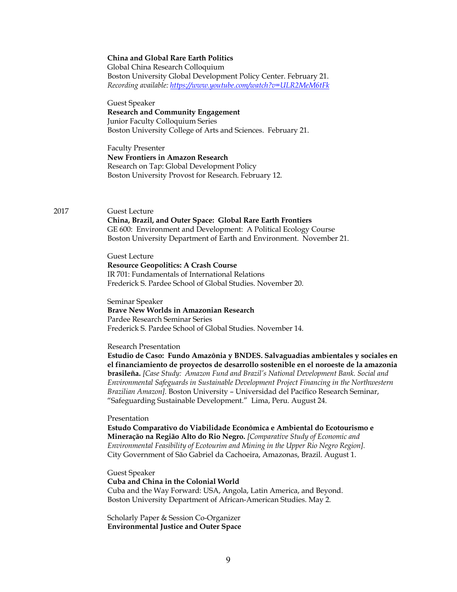### **China and Global Rare Earth Politics**

Global China Research Colloquium Boston University Global Development Policy Center. February 21. *Recording available: https://www.youtube.com/watch?v=ULR2MeM6tFk*

Guest Speaker

#### **Research and Community Engagement** Junior Faculty Colloquium Series

Boston University College of Arts and Sciences. February 21.

Faculty Presenter **New Frontiers in Amazon Research** Research on Tap: Global Development Policy Boston University Provost for Research. February 12.

### 2017 Guest Lecture

**China, Brazil, and Outer Space: Global Rare Earth Frontiers** GE 600: Environment and Development: A Political Ecology Course Boston University Department of Earth and Environment. November 21.

Guest Lecture **Resource Geopolitics: A Crash Course** IR 701: Fundamentals of International Relations Frederick S. Pardee School of Global Studies. November 20.

Seminar Speaker **Brave New Worlds in Amazonian Research** Pardee Research Seminar Series Frederick S. Pardee School of Global Studies. November 14.

#### Research Presentation

**Estudio de Caso: Fundo Amazônia y BNDES. Salvaguadias ambientales y sociales en el financiamiento de proyectos de desarrollo sostenible en el noroeste de la amazonia brasileña.** *[Case Study: Amazon Fund and Brazil's National Development Bank. Social and Environmental Safeguards in Sustainable Development Project Financing in the Northwestern Brazilian Amazon].* Boston University – Universidad del Pacífico Research Seminar, "Safeguarding Sustainable Development." Lima, Peru. August 24.

### Presentation

**Estudo Comparativo do Viabilidade Econômica e Ambiental do Ecotourismo e Mineração na Região Alto do Rio Negro.** *[Comparative Study of Economic and Environmental Feasibility of Ecotourim and Mining in the Upper Rio Negro Region].* City Government of São Gabriel da Cachoeira, Amazonas, Brazil. August 1.

Guest Speaker **Cuba and China in the Colonial World** Cuba and the Way Forward: USA, Angola, Latin America, and Beyond. Boston University Department of African-American Studies. May 2.

Scholarly Paper & Session Co-Organizer **Environmental Justice and Outer Space**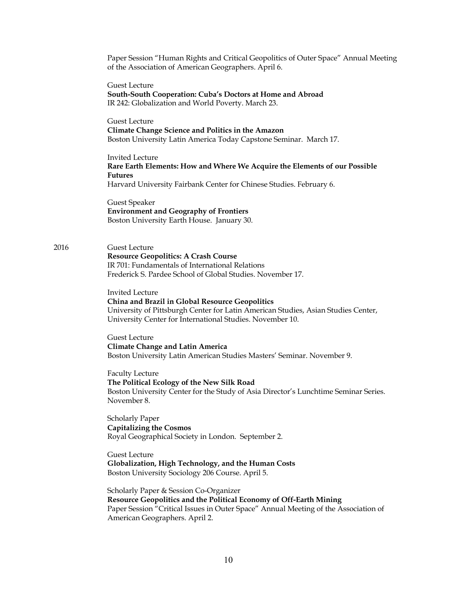Paper Session "Human Rights and Critical Geopolitics of Outer Space" Annual Meeting of the Association of American Geographers. April 6.

Guest Lecture **South-South Cooperation: Cuba's Doctors at Home and Abroad** IR 242: Globalization and World Poverty. March 23.

Guest Lecture **Climate Change Science and Politics in the Amazon** Boston University Latin America Today Capstone Seminar. March 17.

Invited Lecture **Rare Earth Elements: How and Where We Acquire the Elements of our Possible Futures** Harvard University Fairbank Center for Chinese Studies. February 6.

Guest Speaker **Environment and Geography of Frontiers** Boston University Earth House. January 30.

2016 Guest Lecture **Resource Geopolitics: A Crash Course** IR 701: Fundamentals of International Relations Frederick S. Pardee School of Global Studies. November 17.

> Invited Lecture **China and Brazil in Global Resource Geopolitics** University of Pittsburgh Center for Latin American Studies, Asian Studies Center, University Center for International Studies. November 10.

Guest Lecture **Climate Change and Latin America** Boston University Latin American Studies Masters' Seminar. November 9.

Faculty Lecture **The Political Ecology of the New Silk Road** Boston University Center for the Study of Asia Director's Lunchtime Seminar Series. November 8.

Scholarly Paper **Capitalizing the Cosmos** Royal Geographical Society in London. September 2.

Guest Lecture **Globalization, High Technology, and the Human Costs** Boston University Sociology 206 Course. April 5.

Scholarly Paper & Session Co-Organizer **Resource Geopolitics and the Political Economy of Off-Earth Mining** Paper Session "Critical Issues in Outer Space" Annual Meeting of the Association of American Geographers. April 2.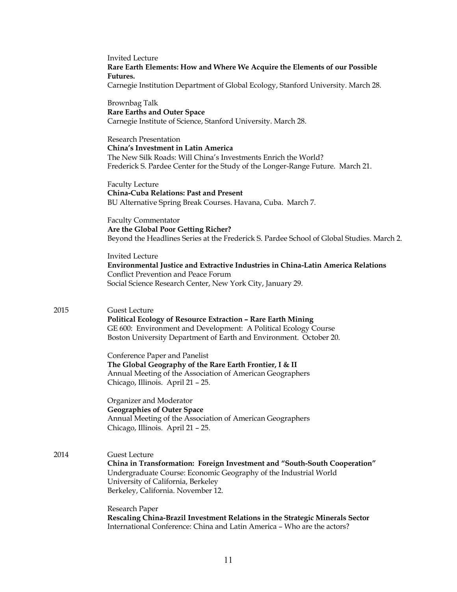Invited Lecture **Rare Earth Elements: How and Where We Acquire the Elements of our Possible Futures.**  Carnegie Institution Department of Global Ecology, Stanford University. March 28.

Brownbag Talk **Rare Earths and Outer Space** Carnegie Institute of Science, Stanford University. March 28.

Research Presentation **China's Investment in Latin America** The New Silk Roads: Will China's Investments Enrich the World? Frederick S. Pardee Center for the Study of the Longer-Range Future. March 21.

Faculty Lecture **China-Cuba Relations: Past and Present** BU Alternative Spring Break Courses. Havana, Cuba. March 7.

Faculty Commentator **Are the Global Poor Getting Richer?**  Beyond the Headlines Series at the Frederick S. Pardee School of Global Studies. March 2.

Invited Lecture **Environmental Justice and Extractive Industries in China-Latin America Relations** Conflict Prevention and Peace Forum Social Science Research Center, New York City, January 29.

## 2015 Guest Lecture

**Political Ecology of Resource Extraction – Rare Earth Mining** GE 600: Environment and Development: A Political Ecology Course Boston University Department of Earth and Environment. October 20.

Conference Paper and Panelist **The Global Geography of the Rare Earth Frontier, I & II** Annual Meeting of the Association of American Geographers Chicago, Illinois. April 21 – 25.

Organizer and Moderator **Geographies of Outer Space** Annual Meeting of the Association of American Geographers Chicago, Illinois. April 21 – 25.

2014 Guest Lecture **China in Transformation: Foreign Investment and "South-South Cooperation"** Undergraduate Course: Economic Geography of the Industrial World University of California, Berkeley Berkeley, California. November 12.

> Research Paper **Rescaling China-Brazil Investment Relations in the Strategic Minerals Sector** International Conference: China and Latin America – Who are the actors?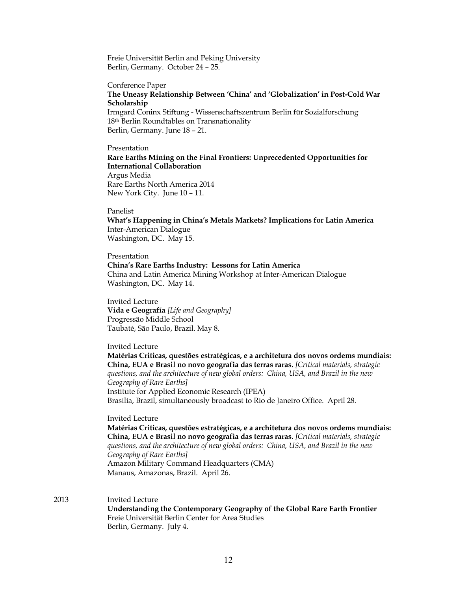Freie Universität Berlin and Peking University Berlin, Germany. October 24 – 25.

#### Conference Paper

## **The Uneasy Relationship Between 'China' and 'Globalization' in Post-Cold War Scholarship**

Irmgard Coninx Stiftung - Wissenschaftszentrum Berlin für Sozialforschung 18th Berlin Roundtables on Transnationality Berlin, Germany. June 18 – 21.

Presentation **Rare Earths Mining on the Final Frontiers: Unprecedented Opportunities for International Collaboration** Argus Media Rare Earths North America 2014 New York City. June 10 – 11.

Panelist

**What's Happening in China's Metals Markets? Implications for Latin America** Inter-American Dialogue Washington, DC. May 15.

Presentation **China's Rare Earths Industry: Lessons for Latin America** China and Latin America Mining Workshop at Inter-American Dialogue Washington, DC. May 14.

Invited Lecture **Vida e Geografía** *[Life and Geography]* Progressão Middle School Taubaté, São Paulo, Brazil. May 8.

Invited Lecture

**Matérias Criticas, questões estratégicas, e a architetura dos novos ordems mundiais: China, EUA e Brasil no novo geografia das terras raras.** *[Critical materials, strategic questions, and the architecture of new global orders: China, USA, and Brazil in the new Geography of Rare Earths]* Institute for Applied Economic Research (IPEA) Brasilia, Brazil, simultaneously broadcast to Rio de Janeiro Office. April 28.

# Invited Lecture

**Matérias Criticas, questões estratégicas, e a architetura dos novos ordems mundiais: China, EUA e Brasil no novo geografia das terras raras.** *[Critical materials, strategic questions, and the architecture of new global orders: China, USA, and Brazil in the new Geography of Rare Earths]* Amazon Military Command Headquarters (CMA) Manaus, Amazonas, Brazil. April 26.

2013 Invited Lecture

**Understanding the Contemporary Geography of the Global Rare Earth Frontier** Freie Universität Berlin Center for Area Studies Berlin, Germany. July 4.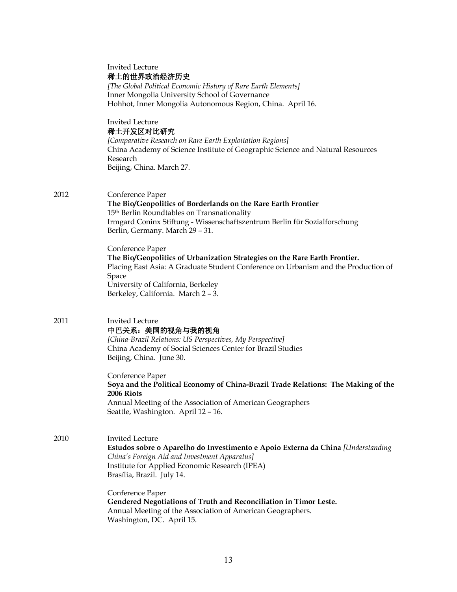|      | <b>Invited Lecture</b><br>稀土的世界政治经济历史<br>[The Global Political Economic History of Rare Earth Elements]<br>Inner Mongolia University School of Governance<br>Hohhot, Inner Mongolia Autonomous Region, China. April 16.                                                   |
|------|---------------------------------------------------------------------------------------------------------------------------------------------------------------------------------------------------------------------------------------------------------------------------|
|      | <b>Invited Lecture</b><br>稀土开发区对比研究<br>[Comparative Research on Rare Earth Exploitation Regions]<br>China Academy of Science Institute of Geographic Science and Natural Resources<br>Research<br>Beijing, China. March 27.                                               |
| 2012 | Conference Paper<br>The Bio/Geopolitics of Borderlands on the Rare Earth Frontier<br>15 <sup>th</sup> Berlin Roundtables on Transnationality<br>Irmgard Coninx Stiftung - Wissenschaftszentrum Berlin für Sozialforschung<br>Berlin, Germany. March 29 - 31.              |
|      | Conference Paper<br>The Bio/Geopolitics of Urbanization Strategies on the Rare Earth Frontier.<br>Placing East Asia: A Graduate Student Conference on Urbanism and the Production of<br>Space<br>University of California, Berkeley<br>Berkeley, California. March 2 - 3. |
| 2011 | <b>Invited Lecture</b><br>中巴关系: 美国的视角与我的视角<br>[China-Brazil Relations: US Perspectives, My Perspective]<br>China Academy of Social Sciences Center for Brazil Studies<br>Beijing, China. June 30.                                                                         |
|      | Conference Paper<br>Soya and the Political Economy of China-Brazil Trade Relations: The Making of the<br>2006 Riots<br>Annual Meeting of the Association of American Geographers<br>Seattle, Washington. April 12 - 16.                                                   |
| 2010 | Invited Lecture<br>Estudos sobre o Aparelho do Investimento e Apoio Externa da China [Understanding]<br>China's Foreign Aid and Investment Apparatus]<br>Institute for Applied Economic Research (IPEA)<br>Brasília, Brazil. July 14.                                     |
|      | Conference Paper<br>Gendered Negotiations of Truth and Reconciliation in Timor Leste.<br>Annual Meeting of the Association of American Geographers.<br>Washington, DC. April 15.                                                                                          |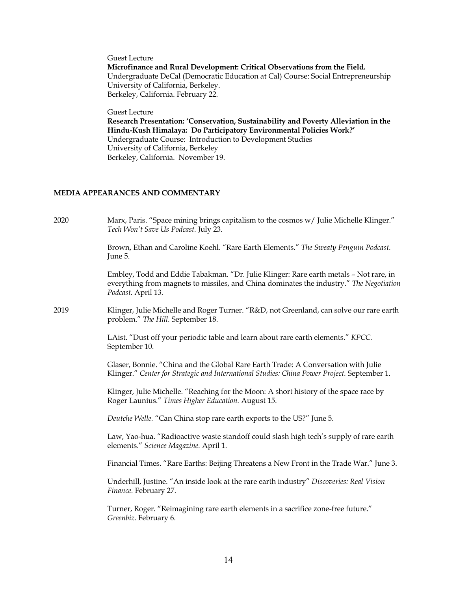Guest Lecture **Microfinance and Rural Development: Critical Observations from the Field.**  Undergraduate DeCal (Democratic Education at Cal) Course: Social Entrepreneurship University of California, Berkeley. Berkeley, California. February 22.

Guest Lecture

**Research Presentation: 'Conservation, Sustainability and Poverty Alleviation in the Hindu-Kush Himalaya: Do Participatory Environmental Policies Work?'**  Undergraduate Course: Introduction to Development Studies University of California, Berkeley Berkeley, California. November 19.

# **MEDIA APPEARANCES AND COMMENTARY**

2020 Marx, Paris. "Space mining brings capitalism to the cosmos w/ Julie Michelle Klinger." *Tech Won't Save Us Podcast.* July 23.

> Brown, Ethan and Caroline Koehl. "Rare Earth Elements." *The Sweaty Penguin Podcast.*  June 5.

Embley, Todd and Eddie Tabakman. "Dr. Julie Klinger: Rare earth metals – Not rare, in everything from magnets to missiles, and China dominates the industry." *The Negotiation Podcast.* April 13.

2019 Klinger, Julie Michelle and Roger Turner. "R&D, not Greenland, can solve our rare earth problem." *The Hill.* September 18.

> LAist. "Dust off your periodic table and learn about rare earth elements." *KPCC.*  September 10.

Glaser, Bonnie. "China and the Global Rare Earth Trade: A Conversation with Julie Klinger." *Center for Strategic and International Studies: China Power Project.* September 1.

Klinger, Julie Michelle. "Reaching for the Moon: A short history of the space race by Roger Launius." *Times Higher Education.* August 15.

*Deutche Welle.* "Can China stop rare earth exports to the US?" June 5.

Law, Yao-hua. "Radioactive waste standoff could slash high tech's supply of rare earth elements." *Science Magazine.* April 1.

Financial Times. "Rare Earths: Beijing Threatens a New Front in the Trade War." June 3.

Underhill, Justine. "An inside look at the rare earth industry" *Discoveries: Real Vision Finance.* February 27.

Turner, Roger. "Reimagining rare earth elements in a sacrifice zone-free future." *Greenbiz.* February 6.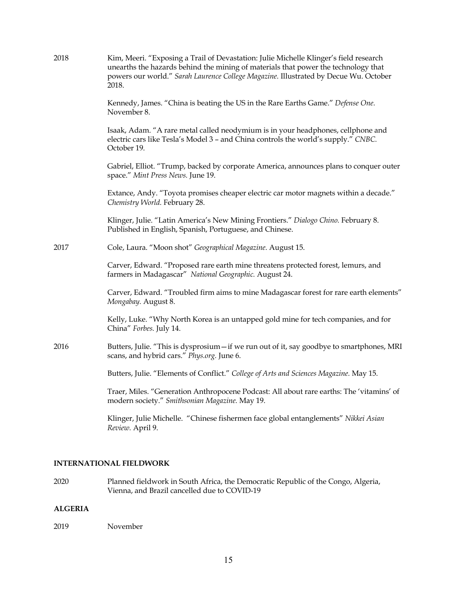| 2018 | Kim, Meeri. "Exposing a Trail of Devastation: Julie Michelle Klinger's field research<br>unearths the hazards behind the mining of materials that power the technology that<br>powers our world." Sarah Laurence College Magazine. Illustrated by Decue Wu. October<br>2018. |
|------|------------------------------------------------------------------------------------------------------------------------------------------------------------------------------------------------------------------------------------------------------------------------------|
|      | Kennedy, James. "China is beating the US in the Rare Earths Game." Defense One.<br>November 8.                                                                                                                                                                               |
|      | Isaak, Adam. "A rare metal called neodymium is in your headphones, cellphone and<br>electric cars like Tesla's Model 3 - and China controls the world's supply." CNBC.<br>October 19.                                                                                        |
|      | Gabriel, Elliot. "Trump, backed by corporate America, announces plans to conquer outer<br>space." Mint Press News. June 19.                                                                                                                                                  |
|      | Extance, Andy. "Toyota promises cheaper electric car motor magnets within a decade."<br>Chemistry World. February 28.                                                                                                                                                        |
|      | Klinger, Julie. "Latin America's New Mining Frontiers." Dialogo Chino. February 8.<br>Published in English, Spanish, Portuguese, and Chinese.                                                                                                                                |
| 2017 | Cole, Laura. "Moon shot" Geographical Magazine. August 15.                                                                                                                                                                                                                   |
|      | Carver, Edward. "Proposed rare earth mine threatens protected forest, lemurs, and<br>farmers in Madagascar" National Geographic. August 24.                                                                                                                                  |
|      | Carver, Edward. "Troubled firm aims to mine Madagascar forest for rare earth elements"<br>Mongabay. August 8.                                                                                                                                                                |
|      | Kelly, Luke. "Why North Korea is an untapped gold mine for tech companies, and for<br>China" Forbes. July 14.                                                                                                                                                                |
| 2016 | Butters, Julie. "This is dysprosium - if we run out of it, say goodbye to smartphones, MRI<br>scans, and hybrid cars." Phys.org. June 6.                                                                                                                                     |
|      | Butters, Julie. "Elements of Conflict." College of Arts and Sciences Magazine. May 15.                                                                                                                                                                                       |
|      | Traer, Miles. "Generation Anthropocene Podcast: All about rare earths: The 'vitamins' of<br>modern society." Smithsonian Magazine. May 19.                                                                                                                                   |
|      | Klinger, Julie Michelle. "Chinese fishermen face global entanglements" Nikkei Asian<br>Review. April 9.                                                                                                                                                                      |

# **INTERNATIONAL FIELDWORK**

2020 Planned fieldwork in South Africa, the Democratic Republic of the Congo, Algeria, Vienna, and Brazil cancelled due to COVID-19

# **ALGERIA**

# 2019 November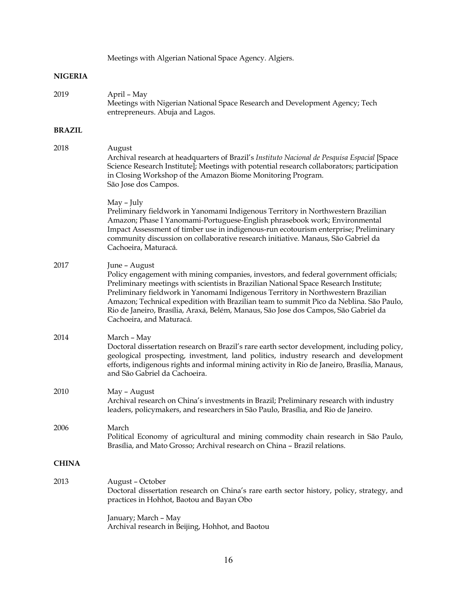Meetings with Algerian National Space Agency. Algiers.

# **NIGERIA**

| 2019          | April - May<br>Meetings with Nigerian National Space Research and Development Agency; Tech<br>entrepreneurs. Abuja and Lagos.                                                                                                                                                                                                                                                                                                                                                                   |
|---------------|-------------------------------------------------------------------------------------------------------------------------------------------------------------------------------------------------------------------------------------------------------------------------------------------------------------------------------------------------------------------------------------------------------------------------------------------------------------------------------------------------|
| <b>BRAZIL</b> |                                                                                                                                                                                                                                                                                                                                                                                                                                                                                                 |
| 2018          | August<br>Archival research at headquarters of Brazil's Instituto Nacional de Pesquisa Espacial [Space<br>Science Research Institute]; Meetings with potential research collaborators; participation<br>in Closing Workshop of the Amazon Biome Monitoring Program.<br>São Jose dos Campos.                                                                                                                                                                                                     |
|               | May – July<br>Preliminary fieldwork in Yanomami Indigenous Territory in Northwestern Brazilian<br>Amazon; Phase I Yanomami-Portuguese-English phrasebook work; Environmental<br>Impact Assessment of timber use in indigenous-run ecotourism enterprise; Preliminary<br>community discussion on collaborative research initiative. Manaus, São Gabriel da<br>Cachoeira, Maturacá.                                                                                                               |
| 2017          | June - August<br>Policy engagement with mining companies, investors, and federal government officials;<br>Preliminary meetings with scientists in Brazilian National Space Research Institute;<br>Preliminary fieldwork in Yanomami Indigenous Territory in Northwestern Brazilian<br>Amazon; Technical expedition with Brazilian team to summit Pico da Neblina. São Paulo,<br>Rio de Janeiro, Brasília, Araxá, Belém, Manaus, São Jose dos Campos, São Gabriel da<br>Cachoeira, and Maturacá. |
| 2014          | March – May<br>Doctoral dissertation research on Brazil's rare earth sector development, including policy,<br>geological prospecting, investment, land politics, industry research and development<br>efforts, indigenous rights and informal mining activity in Rio de Janeiro, Brasília, Manaus,<br>and São Gabriel da Cachoeira.                                                                                                                                                             |
| 2010          | May - August<br>Archival research on China's investments in Brazil; Preliminary research with industry<br>leaders, policymakers, and researchers in São Paulo, Brasília, and Rio de Janeiro.                                                                                                                                                                                                                                                                                                    |
| 2006          | March<br>Political Economy of agricultural and mining commodity chain research in São Paulo,<br>Brasília, and Mato Grosso; Archival research on China - Brazil relations.                                                                                                                                                                                                                                                                                                                       |
| <b>CHINA</b>  |                                                                                                                                                                                                                                                                                                                                                                                                                                                                                                 |
| 2013          | August - October<br>Doctoral dissertation research on China's rare earth sector history, policy, strategy, and<br>practices in Hohhot, Baotou and Bayan Obo                                                                                                                                                                                                                                                                                                                                     |
|               | January; March - May<br>Archival research in Beijing, Hohhot, and Baotou                                                                                                                                                                                                                                                                                                                                                                                                                        |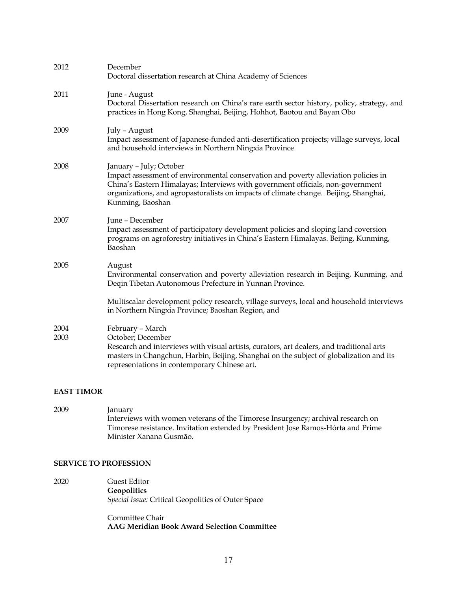| 2012         | December<br>Doctoral dissertation research at China Academy of Sciences                                                                                                                                                                                                                                       |
|--------------|---------------------------------------------------------------------------------------------------------------------------------------------------------------------------------------------------------------------------------------------------------------------------------------------------------------|
| 2011         | June - August<br>Doctoral Dissertation research on China's rare earth sector history, policy, strategy, and<br>practices in Hong Kong, Shanghai, Beijing, Hohhot, Baotou and Bayan Obo                                                                                                                        |
| 2009         | July - August<br>Impact assessment of Japanese-funded anti-desertification projects; village surveys, local<br>and household interviews in Northern Ningxia Province                                                                                                                                          |
| 2008         | January - July; October<br>Impact assessment of environmental conservation and poverty alleviation policies in<br>China's Eastern Himalayas; Interviews with government officials, non-government<br>organizations, and agropastoralists on impacts of climate change. Beijing, Shanghai,<br>Kunming, Baoshan |
| 2007         | June - December<br>Impact assessment of participatory development policies and sloping land coversion<br>programs on agroforestry initiatives in China's Eastern Himalayas. Beijing, Kunming,<br>Baoshan                                                                                                      |
| 2005         | August<br>Environmental conservation and poverty alleviation research in Beijing, Kunming, and<br>Deqin Tibetan Autonomous Prefecture in Yunnan Province.                                                                                                                                                     |
|              | Multiscalar development policy research, village surveys, local and household interviews<br>in Northern Ningxia Province; Baoshan Region, and                                                                                                                                                                 |
| 2004<br>2003 | February - March<br>October; December<br>Research and interviews with visual artists, curators, art dealers, and traditional arts<br>masters in Changchun, Harbin, Beijing, Shanghai on the subject of globalization and its<br>representations in contemporary Chinese art.                                  |

# **EAST TIMOR**

2009 January Interviews with women veterans of the Timorese Insurgency; archival research on Timorese resistance. Invitation extended by President Jose Ramos-Hórta and Prime Minister Xanana Gusmão.

# **SERVICE TO PROFESSION**

2020 Guest Editor **Geopolitics** *Special Issue:* Critical Geopolitics of Outer Space

> Committee Chair **AAG Meridian Book Award Selection Committee**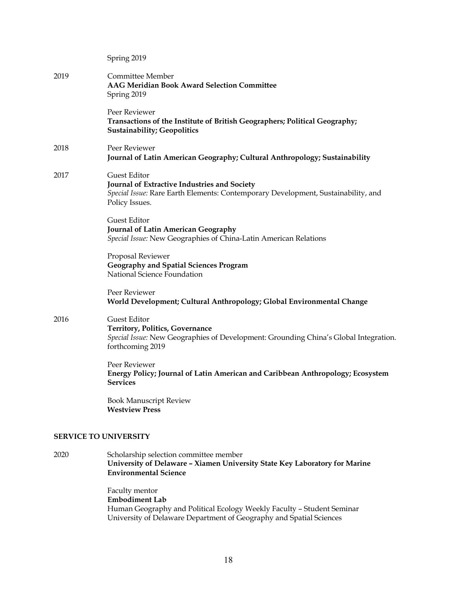|      | Spring 2019                                                                                                                                                         |
|------|---------------------------------------------------------------------------------------------------------------------------------------------------------------------|
| 2019 | Committee Member<br><b>AAG Meridian Book Award Selection Committee</b><br>Spring 2019                                                                               |
|      | Peer Reviewer<br>Transactions of the Institute of British Geographers; Political Geography;<br><b>Sustainability; Geopolitics</b>                                   |
| 2018 | Peer Reviewer<br>Journal of Latin American Geography; Cultural Anthropology; Sustainability                                                                         |
| 2017 | Guest Editor<br>Journal of Extractive Industries and Society<br>Special Issue: Rare Earth Elements: Contemporary Development, Sustainability, and<br>Policy Issues. |
|      | Guest Editor<br><b>Journal of Latin American Geography</b><br>Special Issue: New Geographies of China-Latin American Relations                                      |
|      | Proposal Reviewer<br><b>Geography and Spatial Sciences Program</b><br>National Science Foundation                                                                   |
|      | Peer Reviewer<br>World Development; Cultural Anthropology; Global Environmental Change                                                                              |
| 2016 | Guest Editor<br><b>Territory, Politics, Governance</b><br>Special Issue: New Geographies of Development: Grounding China's Global Integration.<br>forthcoming 2019  |
|      | Peer Reviewer<br>Energy Policy; Journal of Latin American and Caribbean Anthropology; Ecosystem<br><b>Services</b>                                                  |
|      | <b>Book Manuscript Review</b><br><b>Westview Press</b>                                                                                                              |
|      | <b>SERVICE TO UNIVERSITY</b>                                                                                                                                        |
| 2020 | Scholarship selection committee member                                                                                                                              |

**University of Delaware – Xiamen University State Key Laboratory for Marine Environmental Science**

> Faculty mentor **Embodiment Lab** Human Geography and Political Ecology Weekly Faculty – Student Seminar University of Delaware Department of Geography and Spatial Sciences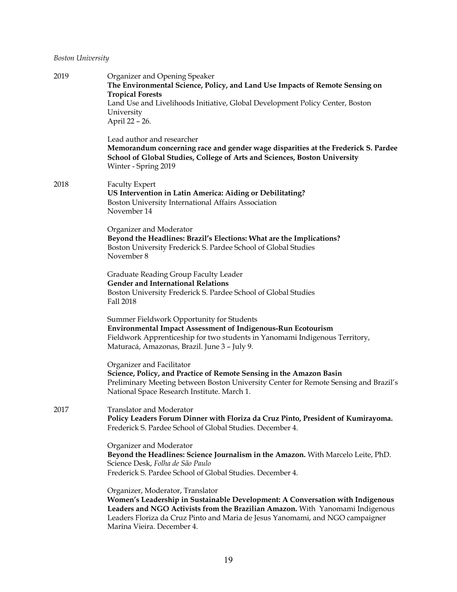# *Boston University*

| 2019 | Organizer and Opening Speaker<br>The Environmental Science, Policy, and Land Use Impacts of Remote Sensing on<br><b>Tropical Forests</b><br>Land Use and Livelihoods Initiative, Global Development Policy Center, Boston<br>University<br>April 22 - 26.                                                         |
|------|-------------------------------------------------------------------------------------------------------------------------------------------------------------------------------------------------------------------------------------------------------------------------------------------------------------------|
|      | Lead author and researcher<br>Memorandum concerning race and gender wage disparities at the Frederick S. Pardee<br>School of Global Studies, College of Arts and Sciences, Boston University<br>Winter - Spring 2019                                                                                              |
| 2018 | <b>Faculty Expert</b><br>US Intervention in Latin America: Aiding or Debilitating?<br>Boston University International Affairs Association<br>November 14                                                                                                                                                          |
|      | Organizer and Moderator<br>Beyond the Headlines: Brazil's Elections: What are the Implications?<br>Boston University Frederick S. Pardee School of Global Studies<br>November 8                                                                                                                                   |
|      | Graduate Reading Group Faculty Leader<br><b>Gender and International Relations</b><br>Boston University Frederick S. Pardee School of Global Studies<br>Fall 2018                                                                                                                                                 |
|      | Summer Fieldwork Opportunity for Students<br><b>Environmental Impact Assessment of Indigenous-Run Ecotourism</b><br>Fieldwork Apprenticeship for two students in Yanomami Indigenous Territory,<br>Maturacá, Amazonas, Brazil. June 3 – July 9.                                                                   |
|      | Organizer and Facilitator<br>Science, Policy, and Practice of Remote Sensing in the Amazon Basin<br>Preliminary Meeting between Boston University Center for Remote Sensing and Brazil's<br>National Space Research Institute. March 1.                                                                           |
| 2017 | Translator and Moderator<br>Policy Leaders Forum Dinner with Floriza da Cruz Pinto, President of Kumirayoma.<br>Frederick S. Pardee School of Global Studies. December 4.                                                                                                                                         |
|      | Organizer and Moderator<br>Beyond the Headlines: Science Journalism in the Amazon. With Marcelo Leite, PhD.<br>Science Desk, Folha de São Paulo<br>Frederick S. Pardee School of Global Studies. December 4.                                                                                                      |
|      | Organizer, Moderator, Translator<br>Women's Leadership in Sustainable Development: A Conversation with Indigenous<br>Leaders and NGO Activists from the Brazilian Amazon. With Yanomami Indigenous<br>Leaders Floriza da Cruz Pinto and Maria de Jesus Yanomami, and NGO campaigner<br>Marina Vieira. December 4. |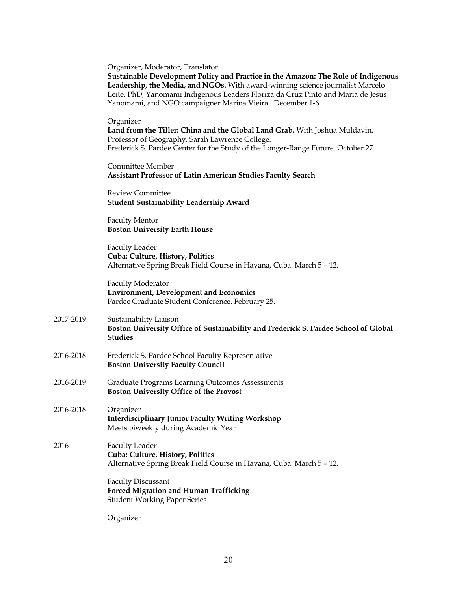|           | Organizer, Moderator, Translator<br>Sustainable Development Policy and Practice in the Amazon: The Role of Indigenous<br>Leadership, the Media, and NGOs. With award-winning science journalist Marcelo<br>Leite, PhD, Yanomami Indigenous Leaders Floriza da Cruz Pinto and Maria de Jesus<br>Yanomami, and NGO campaigner Marina Vieira. December 1-6. |
|-----------|----------------------------------------------------------------------------------------------------------------------------------------------------------------------------------------------------------------------------------------------------------------------------------------------------------------------------------------------------------|
|           | Organizer<br>Land from the Tiller: China and the Global Land Grab. With Joshua Muldavin,<br>Professor of Geography, Sarah Lawrence College.<br>Frederick S. Pardee Center for the Study of the Longer-Range Future. October 27.                                                                                                                          |
|           | Committee Member<br><b>Assistant Professor of Latin American Studies Faculty Search</b>                                                                                                                                                                                                                                                                  |
|           | <b>Review Committee</b><br><b>Student Sustainability Leadership Award</b>                                                                                                                                                                                                                                                                                |
|           | <b>Faculty Mentor</b><br><b>Boston University Earth House</b>                                                                                                                                                                                                                                                                                            |
|           | <b>Faculty Leader</b><br>Cuba: Culture, History, Politics<br>Alternative Spring Break Field Course in Havana, Cuba. March 5 - 12.                                                                                                                                                                                                                        |
|           | <b>Faculty Moderator</b><br><b>Environment, Development and Economics</b><br>Pardee Graduate Student Conference. February 25.                                                                                                                                                                                                                            |
| 2017-2019 | Sustainability Liaison<br>Boston University Office of Sustainability and Frederick S. Pardee School of Global<br><b>Studies</b>                                                                                                                                                                                                                          |
| 2016-2018 | Frederick S. Pardee School Faculty Representative<br><b>Boston University Faculty Council</b>                                                                                                                                                                                                                                                            |
| 2016-2019 | <b>Graduate Programs Learning Outcomes Assessments</b><br><b>Boston University Office of the Provost</b>                                                                                                                                                                                                                                                 |
| 2016-2018 | Organizer<br><b>Interdisciplinary Junior Faculty Writing Workshop</b><br>Meets biweekly during Academic Year                                                                                                                                                                                                                                             |
| 2016      | <b>Faculty Leader</b><br>Cuba: Culture, History, Politics<br>Alternative Spring Break Field Course in Havana, Cuba. March 5 - 12.                                                                                                                                                                                                                        |
|           | <b>Faculty Discussant</b><br>Forced Migration and Human Trafficking<br><b>Student Working Paper Series</b>                                                                                                                                                                                                                                               |
|           |                                                                                                                                                                                                                                                                                                                                                          |

Organizer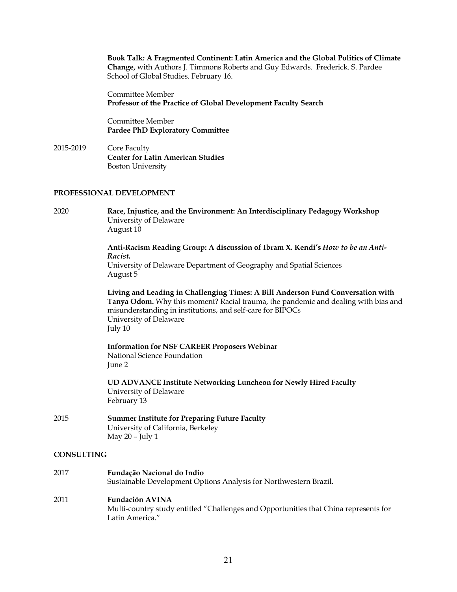**Book Talk: A Fragmented Continent: Latin America and the Global Politics of Climate Change,** with Authors J. Timmons Roberts and Guy Edwards. Frederick. S. Pardee School of Global Studies. February 16.

Committee Member **Professor of the Practice of Global Development Faculty Search**

Committee Member **Pardee PhD Exploratory Committee**

2015-2019 Core Faculty **Center for Latin American Studies** Boston University

## **PROFESSIONAL DEVELOPMENT**

2020 **Race, Injustice, and the Environment: An Interdisciplinary Pedagogy Workshop** University of Delaware August 10

> **Anti-Racism Reading Group: A discussion of Ibram X. Kendi's** *How to be an Anti-Racist.*  University of Delaware Department of Geography and Spatial Sciences August 5

**Living and Leading in Challenging Times: A Bill Anderson Fund Conversation with Tanya Odom.** Why this moment? Racial trauma, the pandemic and dealing with bias and misunderstanding in institutions, and self-care for BIPOCs University of Delaware July 10

**Information for NSF CAREER Proposers Webinar** National Science Foundation June 2

**UD ADVANCE Institute Networking Luncheon for Newly Hired Faculty** University of Delaware February 13

2015 **Summer Institute for Preparing Future Faculty** University of California, Berkeley May 20 – July 1

## **CONSULTING**

| 2017 | Fundação Nacional do Indio                                        |
|------|-------------------------------------------------------------------|
|      | Sustainable Development Options Analysis for Northwestern Brazil. |
| 2011 | <b>Fundación AVINA</b>                                            |

Multi-country study entitled "Challenges and Opportunities that China represents for Latin America."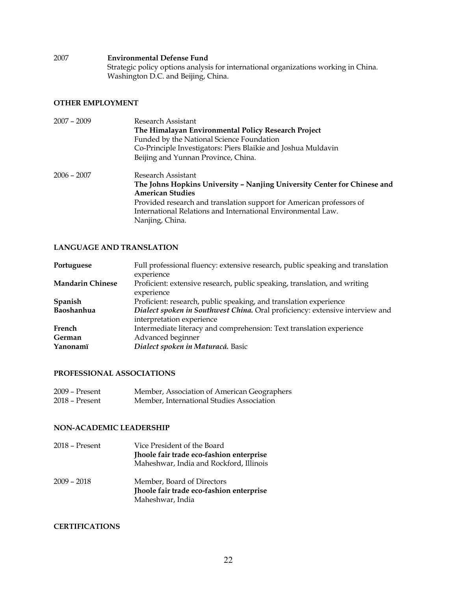2007 **Environmental Defense Fund** Strategic policy options analysis for international organizations working in China. Washington D.C. and Beijing, China.

# **OTHER EMPLOYMENT**

| $2007 - 2009$ | Research Assistant<br>The Himalayan Environmental Policy Research Project<br>Funded by the National Science Foundation<br>Co-Principle Investigators: Piers Blaikie and Joshua Muldavin |
|---------------|-----------------------------------------------------------------------------------------------------------------------------------------------------------------------------------------|
|               | Beijing and Yunnan Province, China.                                                                                                                                                     |
| $2006 - 2007$ | Research Assistant                                                                                                                                                                      |
|               | The Johns Hopkins University - Nanjing University Center for Chinese and                                                                                                                |
|               | <b>American Studies</b>                                                                                                                                                                 |
|               | Provided research and translation support for American professors of                                                                                                                    |
|               | International Relations and International Environmental Law.                                                                                                                            |
|               | Nanjing, China.                                                                                                                                                                         |

# **LANGUAGE AND TRANSLATION**

| Portuguese              | Full professional fluency: extensive research, public speaking and translation<br>experience              |
|-------------------------|-----------------------------------------------------------------------------------------------------------|
| <b>Mandarin Chinese</b> | Proficient: extensive research, public speaking, translation, and writing<br>experience                   |
| Spanish                 | Proficient: research, public speaking, and translation experience                                         |
| Baoshanhua              | Dialect spoken in Southwest China. Oral proficiency: extensive interview and<br>interpretation experience |
| French                  | Intermediate literacy and comprehension: Text translation experience                                      |
| German                  | Advanced beginner                                                                                         |
| Yanonamï                | Dialect spoken in Maturacá. Basic                                                                         |

## **PROFESSIONAL ASSOCIATIONS**

| 2009 – Present | Member, Association of American Geographers |
|----------------|---------------------------------------------|
| 2018 – Present | Member, International Studies Association   |

# **NON-ACADEMIC LEADERSHIP**

| 2018 – Present | Vice President of the Board<br>Jhoole fair trade eco-fashion enterprise<br>Maheshwar, India and Rockford, Illinois |
|----------------|--------------------------------------------------------------------------------------------------------------------|
| $2009 - 2018$  | Member, Board of Directors<br>Jhoole fair trade eco-fashion enterprise<br>Maheshwar, India                         |

# **CERTIFICATIONS**